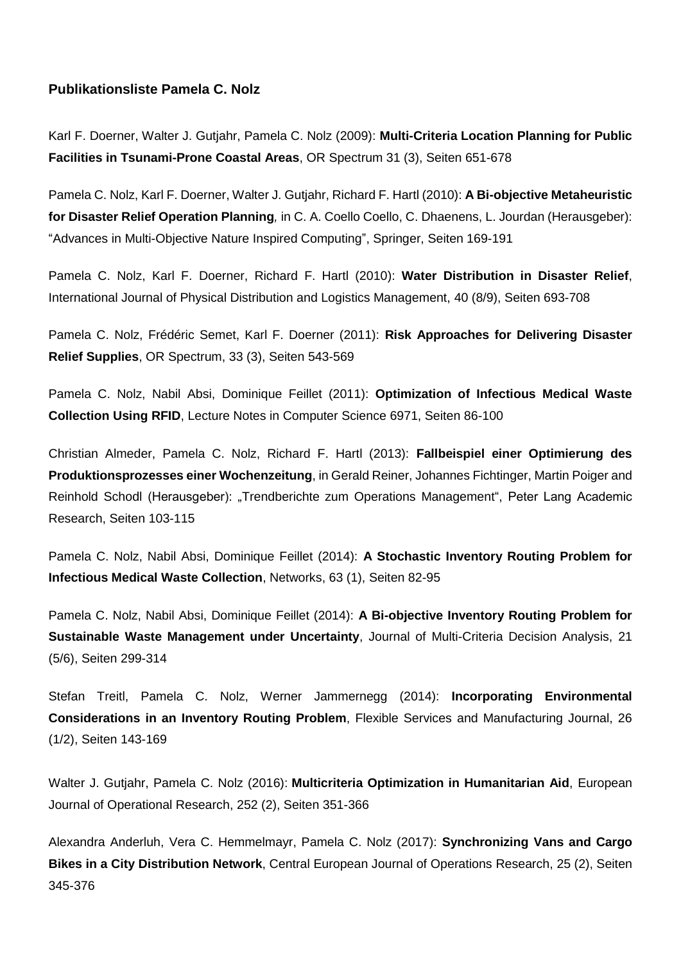## **Publikationsliste Pamela C. Nolz**

Karl F. Doerner, Walter J. Gutjahr, Pamela C. Nolz (2009): **Multi-Criteria Location Planning for Public Facilities in Tsunami-Prone Coastal Areas**, OR Spectrum 31 (3), Seiten 651-678

Pamela C. Nolz, Karl F. Doerner, Walter J. Gutjahr, Richard F. Hartl (2010): **A Bi-objective Metaheuristic for Disaster Relief Operation Planning***,* in C. A. Coello Coello, C. Dhaenens, L. Jourdan (Herausgeber): "Advances in Multi-Objective Nature Inspired Computing", Springer, Seiten 169-191

Pamela C. Nolz, Karl F. Doerner, Richard F. Hartl (2010): **Water Distribution in Disaster Relief**, International Journal of Physical Distribution and Logistics Management, 40 (8/9), Seiten 693-708

Pamela C. Nolz, Frédéric Semet, Karl F. Doerner (2011): **Risk Approaches for Delivering Disaster Relief Supplies**, OR Spectrum, 33 (3), Seiten 543-569

Pamela C. Nolz, Nabil Absi, Dominique Feillet (2011): **Optimization of Infectious Medical Waste Collection Using RFID**, Lecture Notes in Computer Science 6971, Seiten 86-100

Christian Almeder, Pamela C. Nolz, Richard F. Hartl (2013): **Fallbeispiel einer Optimierung des Produktionsprozesses einer Wochenzeitung**, in Gerald Reiner, Johannes Fichtinger, Martin Poiger and Reinhold Schodl (Herausgeber): "Trendberichte zum Operations Management", Peter Lang Academic Research, Seiten 103-115

Pamela C. Nolz, Nabil Absi, Dominique Feillet (2014): **A Stochastic Inventory Routing Problem for Infectious Medical Waste Collection**, Networks, 63 (1), Seiten 82-95

Pamela C. Nolz, Nabil Absi, Dominique Feillet (2014): **A Bi-objective Inventory Routing Problem for Sustainable Waste Management under Uncertainty**, Journal of Multi-Criteria Decision Analysis, 21 (5/6), Seiten 299-314

Stefan Treitl, Pamela C. Nolz, Werner Jammernegg (2014): **Incorporating Environmental Considerations in an Inventory Routing Problem**, Flexible Services and Manufacturing Journal, 26 (1/2), Seiten 143-169

Walter J. Gutjahr, Pamela C. Nolz (2016): **Multicriteria Optimization in Humanitarian Aid**, European Journal of Operational Research, 252 (2), Seiten 351-366

Alexandra Anderluh, Vera C. Hemmelmayr, Pamela C. Nolz (2017): **Synchronizing Vans and Cargo Bikes in a City Distribution Network**, Central European Journal of Operations Research, 25 (2), Seiten 345-376